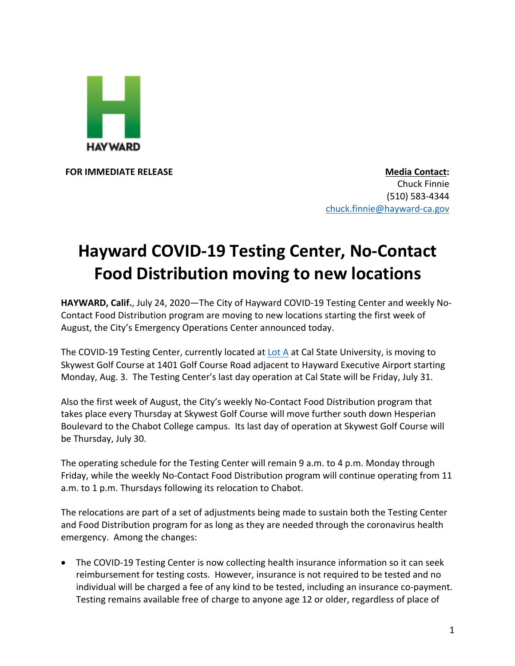

**FOR IMMEDIATE RELEASE Media Contact:** Chuck Finnie (510) 583-4344 chuck.finnie@hayward-ca.gov

## **Hayward COVID-19 Testing Center, No-Contact Food Distribution moving to new locations**

**HAYWARD, Calif.**, July 24, 2020—The City of Hayward COVID-19 Testing Center and weekly No-Contact Food Distribution program are moving to new locations starting the first week of August, the City's Emergency Operations Center announced today.

The COVID-19 Testing Center, currently located at Lot A at Cal State University, is moving to Skywest Golf Course at 1401 Golf Course Road adjacent to Hayward Executive Airport starting Monday, Aug. 3. The Testing Center's last day operation at Cal State will be Friday, July 31.

Also the first week of August, the City's weekly No-Contact Food Distribution program that takes place every Thursday at Skywest Golf Course will move further south down Hesperian Boulevard to the Chabot College campus. Its last day of operation at Skywest Golf Course will be Thursday, July 30.

The operating schedule for the Testing Center will remain 9 a.m. to 4 p.m. Monday through Friday, while the weekly No-Contact Food Distribution program will continue operating from 11 a.m. to 1 p.m. Thursdays following its relocation to Chabot.

The relocations are part of a set of adjustments being made to sustain both the Testing Center and Food Distribution program for as long as they are needed through the coronavirus health emergency. Among the changes:

• The COVID-19 Testing Center is now collecting health insurance information so it can seek reimbursement for testing costs. However, insurance is not required to be tested and no individual will be charged a fee of any kind to be tested, including an insurance co-payment. Testing remains available free of charge to anyone age 12 or older, regardless of place of